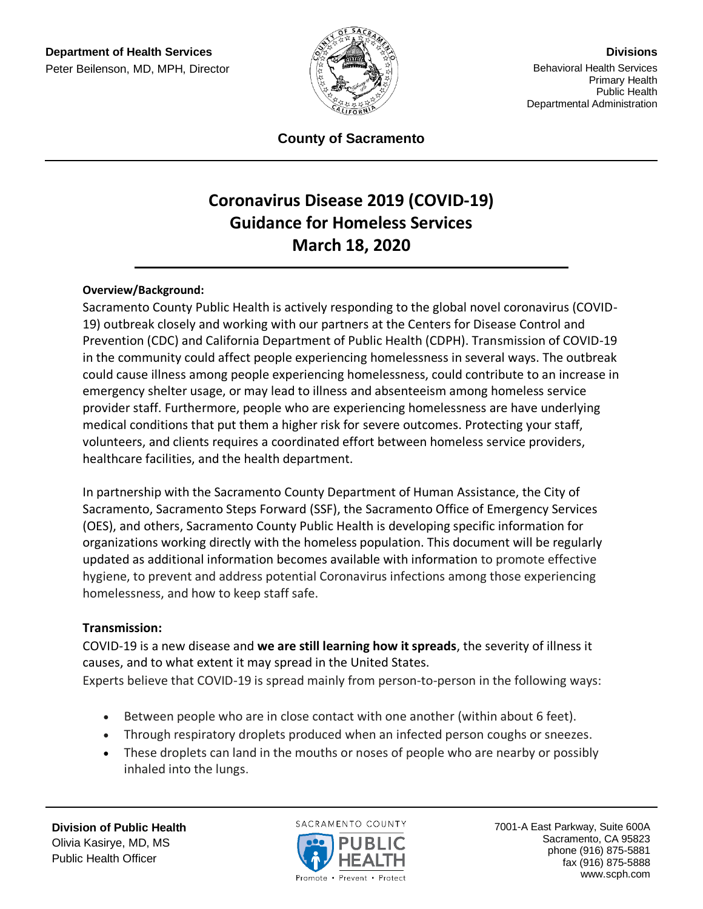

**County of Sacramento**

# **Coronavirus Disease 2019 (COVID-19) Guidance for Homeless Services March 18, 2020**

## **Overview/Background:**

Sacramento County Public Health is actively responding to the global novel coronavirus (COVID-19) outbreak closely and working with our partners at the Centers for Disease Control and Prevention (CDC) and California Department of Public Health (CDPH). Transmission of COVID-19 in the community could affect people experiencing homelessness in several ways. The outbreak could cause illness among people experiencing homelessness, could contribute to an increase in emergency shelter usage, or may lead to illness and absenteeism among homeless service provider staff. Furthermore, people who are experiencing homelessness are have underlying medical conditions that put them a higher risk for severe outcomes. Protecting your staff, volunteers, and clients requires a coordinated effort between homeless service providers, healthcare facilities, and the health department.

In partnership with the Sacramento County Department of Human Assistance, the City of Sacramento, Sacramento Steps Forward (SSF), the Sacramento Office of Emergency Services (OES), and others, Sacramento County Public Health is developing specific information for organizations working directly with the homeless population. This document will be regularly updated as additional information becomes available with information to promote effective hygiene, to prevent and address potential Coronavirus infections among those experiencing homelessness, and how to keep staff safe.

#### **Transmission:**

COVID-19 is a new disease and **we are still learning how it spreads**, the severity of illness it causes, and to what extent it may spread in the United States. Experts believe that COVID-19 is spread mainly from person-to-person in the following ways:

- Between people who are in close contact with one another (within about 6 feet).
- Through respiratory droplets produced when an infected person coughs or sneezes.
- These droplets can land in the mouths or noses of people who are nearby or possibly inhaled into the lungs.

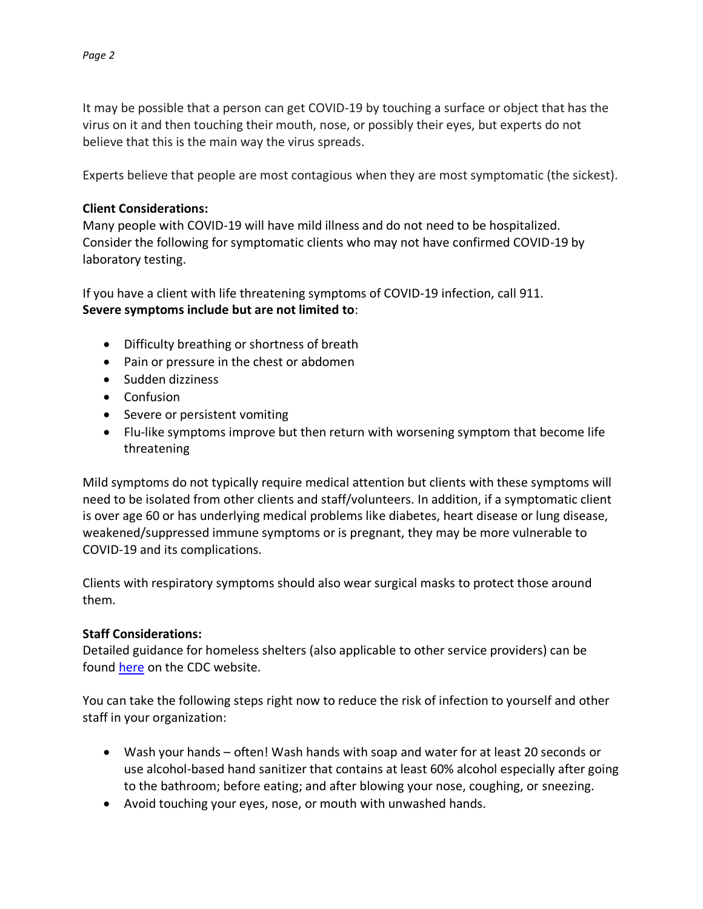It may be possible that a person can get COVID-19 by touching a surface or object that has the virus on it and then touching their mouth, nose, or possibly their eyes, but experts do not believe that this is the main way the virus spreads.

Experts believe that people are most contagious when they are most symptomatic (the sickest).

### **Client Considerations:**

Many people with COVID-19 will have mild illness and do not need to be hospitalized. Consider the following for symptomatic clients who may not have confirmed COVID-19 by laboratory testing.

If you have a client with life threatening symptoms of COVID-19 infection, call 911. **Severe symptoms include but are not limited to**:

- Difficulty breathing or shortness of breath
- Pain or pressure in the chest or abdomen
- Sudden dizziness
- Confusion
- Severe or persistent vomiting
- Flu-like symptoms improve but then return with worsening symptom that become life threatening

Mild symptoms do not typically require medical attention but clients with these symptoms will need to be isolated from other clients and staff/volunteers. In addition, if a symptomatic client is over age 60 or has underlying medical problems like diabetes, heart disease or lung disease, weakened/suppressed immune symptoms or is pregnant, they may be more vulnerable to COVID-19 and its complications.

Clients with respiratory symptoms should also wear surgical masks to protect those around them.

# **Staff Considerations:**

Detailed guidance for homeless shelters (also applicable to other service providers) can be found [here](https://www.cdc.gov/coronavirus/2019-ncov/community/homeless-shelters/plan-prepare-respond.html) on the CDC website.

You can take the following steps right now to reduce the risk of infection to yourself and other staff in your organization:

- Wash your hands often! Wash hands with soap and water for at least 20 seconds or use alcohol-based hand sanitizer that contains at least 60% alcohol especially after going to the bathroom; before eating; and after blowing your nose, coughing, or sneezing.
- Avoid touching your eyes, nose, or mouth with unwashed hands.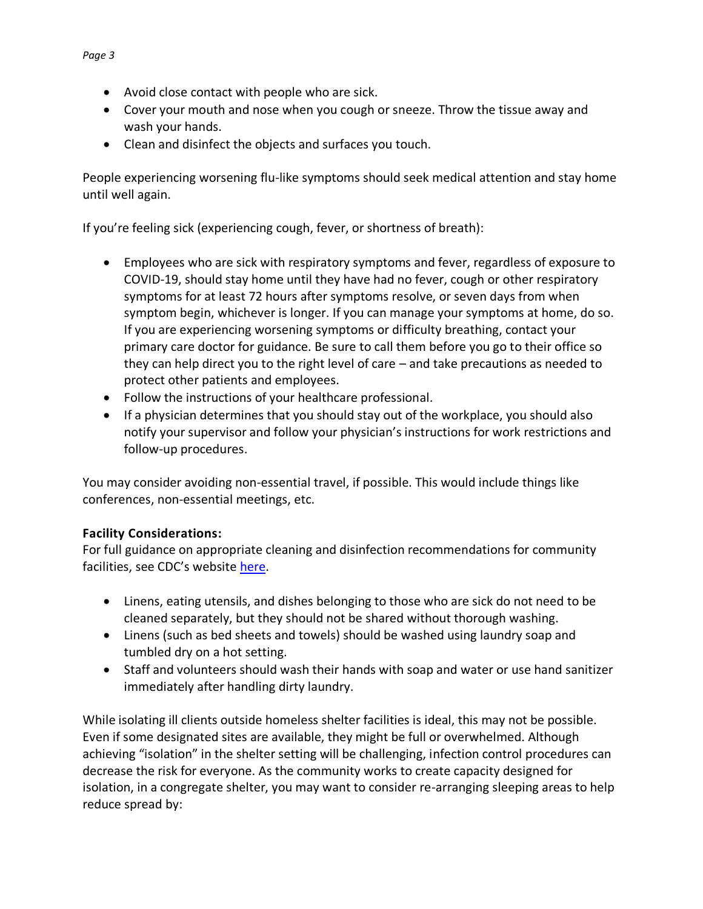- Avoid close contact with people who are sick.
- Cover your mouth and nose when you cough or sneeze. Throw the tissue away and wash your hands.
- Clean and disinfect the objects and surfaces you touch.

People experiencing worsening flu-like symptoms should seek medical attention and stay home until well again.

If you're feeling sick (experiencing cough, fever, or shortness of breath):

- Employees who are sick with respiratory symptoms and fever, regardless of exposure to COVID-19, should stay home until they have had no fever, cough or other respiratory symptoms for at least 72 hours after symptoms resolve, or seven days from when symptom begin, whichever is longer. If you can manage your symptoms at home, do so. If you are experiencing worsening symptoms or difficulty breathing, contact your primary care doctor for guidance. Be sure to call them before you go to their office so they can help direct you to the right level of care – and take precautions as needed to protect other patients and employees.
- Follow the instructions of your healthcare professional.
- If a physician determines that you should stay out of the workplace, you should also notify your supervisor and follow your physician's instructions for work restrictions and follow-up procedures.

You may consider avoiding non-essential travel, if possible. This would include things like conferences, non-essential meetings, etc.

#### **Facility Considerations:**

For full guidance on appropriate cleaning and disinfection recommendations for community facilities, see CDC's website [here.](https://www.cdc.gov/coronavirus/2019-ncov/prepare/cleaning-disinfection.html?CDC_AA_refVal=https%3A%2F%2Fwww.cdc.gov%2Fcoronavirus%2F2019-ncov%2Fcommunity%2Fhome%2Fcleaning-disinfection.html)

- Linens, eating utensils, and dishes belonging to those who are sick do not need to be cleaned separately, but they should not be shared without thorough washing.
- Linens (such as bed sheets and towels) should be washed using laundry soap and tumbled dry on a hot setting.
- Staff and volunteers should wash their hands with soap and water or use hand sanitizer immediately after handling dirty laundry.

While isolating ill clients outside homeless shelter facilities is ideal, this may not be possible. Even if some designated sites are available, they might be full or overwhelmed. Although achieving "isolation" in the shelter setting will be challenging, infection control procedures can decrease the risk for everyone. As the community works to create capacity designed for isolation, in a congregate shelter, you may want to consider re-arranging sleeping areas to help reduce spread by: